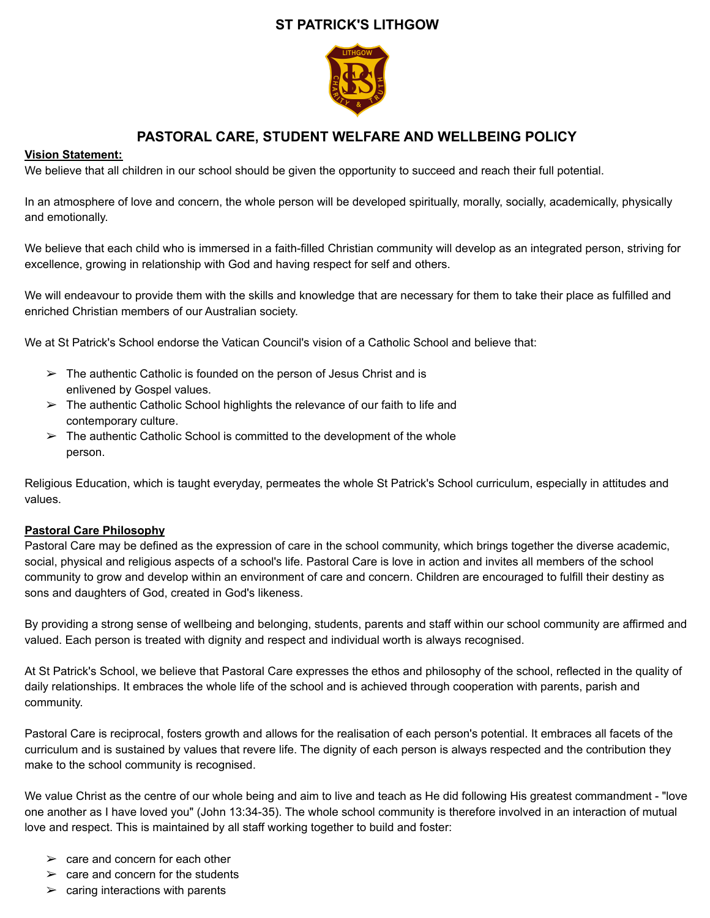# **ST PATRICK'S LITHGOW**



# **PASTORAL CARE, STUDENT WELFARE AND WELLBEING POLICY**

## **Vision Statement:**

We believe that all children in our school should be given the opportunity to succeed and reach their full potential.

In an atmosphere of love and concern, the whole person will be developed spiritually, morally, socially, academically, physically and emotionally.

We believe that each child who is immersed in a faith-filled Christian community will develop as an integrated person, striving for excellence, growing in relationship with God and having respect for self and others.

We will endeavour to provide them with the skills and knowledge that are necessary for them to take their place as fulfilled and enriched Christian members of our Australian society.

We at St Patrick's School endorse the Vatican Council's vision of a Catholic School and believe that:

- $\triangleright$  The authentic Catholic is founded on the person of Jesus Christ and is enlivened by Gospel values.
- $\triangleright$  The authentic Catholic School highlights the relevance of our faith to life and contemporary culture.
- $\triangleright$  The authentic Catholic School is committed to the development of the whole person.

Religious Education, which is taught everyday, permeates the whole St Patrick's School curriculum, especially in attitudes and values.

## **Pastoral Care Philosophy**

Pastoral Care may be defined as the expression of care in the school community, which brings together the diverse academic, social, physical and religious aspects of a school's life. Pastoral Care is love in action and invites all members of the school community to grow and develop within an environment of care and concern. Children are encouraged to fulfill their destiny as sons and daughters of God, created in God's likeness.

By providing a strong sense of wellbeing and belonging, students, parents and staff within our school community are affirmed and valued. Each person is treated with dignity and respect and individual worth is always recognised.

At St Patrick's School, we believe that Pastoral Care expresses the ethos and philosophy of the school, reflected in the quality of daily relationships. It embraces the whole life of the school and is achieved through cooperation with parents, parish and community.

Pastoral Care is reciprocal, fosters growth and allows for the realisation of each person's potential. It embraces all facets of the curriculum and is sustained by values that revere life. The dignity of each person is always respected and the contribution they make to the school community is recognised.

We value Christ as the centre of our whole being and aim to live and teach as He did following His greatest commandment - "love one another as I have loved you" (John 13:34-35). The whole school community is therefore involved in an interaction of mutual love and respect. This is maintained by all staff working together to build and foster:

- $\ge$  care and concern for each other
- $\ge$  care and concern for the students
- $\triangleright$  caring interactions with parents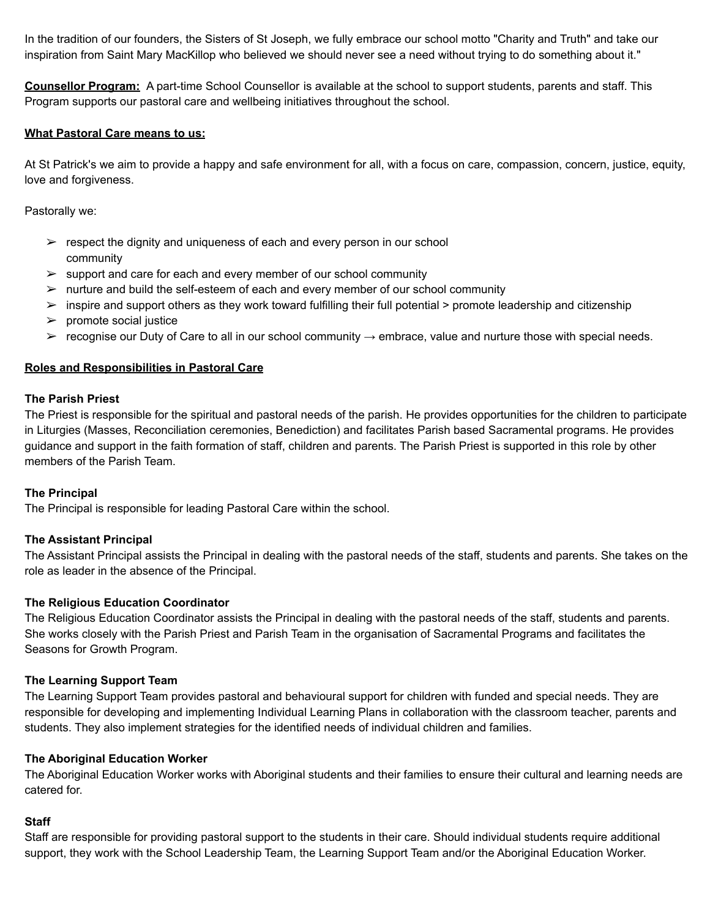In the tradition of our founders, the Sisters of St Joseph, we fully embrace our school motto "Charity and Truth" and take our inspiration from Saint Mary MacKillop who believed we should never see a need without trying to do something about it."

**Counsellor Program:** A part-time School Counsellor is available at the school to support students, parents and staff. This Program supports our pastoral care and wellbeing initiatives throughout the school.

## **What Pastoral Care means to us:**

At St Patrick's we aim to provide a happy and safe environment for all, with a focus on care, compassion, concern, justice, equity, love and forgiveness.

Pastorally we:

- $\triangleright$  respect the dignity and uniqueness of each and every person in our school community
- $\triangleright$  support and care for each and every member of our school community
- $\triangleright$  nurture and build the self-esteem of each and every member of our school community
- $\triangleright$  inspire and support others as they work toward fulfilling their full potential  $\triangleright$  promote leadership and citizenship
- $\triangleright$  promote social justice
- $>$  recognise our Duty of Care to all in our school community  $→$  embrace, value and nurture those with special needs.

## **Roles and Responsibilities in Pastoral Care**

## **The Parish Priest**

The Priest is responsible for the spiritual and pastoral needs of the parish. He provides opportunities for the children to participate in Liturgies (Masses, Reconciliation ceremonies, Benediction) and facilitates Parish based Sacramental programs. He provides guidance and support in the faith formation of staff, children and parents. The Parish Priest is supported in this role by other members of the Parish Team.

## **The Principal**

The Principal is responsible for leading Pastoral Care within the school.

## **The Assistant Principal**

The Assistant Principal assists the Principal in dealing with the pastoral needs of the staff, students and parents. She takes on the role as leader in the absence of the Principal.

## **The Religious Education Coordinator**

The Religious Education Coordinator assists the Principal in dealing with the pastoral needs of the staff, students and parents. She works closely with the Parish Priest and Parish Team in the organisation of Sacramental Programs and facilitates the Seasons for Growth Program.

## **The Learning Support Team**

The Learning Support Team provides pastoral and behavioural support for children with funded and special needs. They are responsible for developing and implementing Individual Learning Plans in collaboration with the classroom teacher, parents and students. They also implement strategies for the identified needs of individual children and families.

## **The Aboriginal Education Worker**

The Aboriginal Education Worker works with Aboriginal students and their families to ensure their cultural and learning needs are catered for.

## **Staff**

Staff are responsible for providing pastoral support to the students in their care. Should individual students require additional support, they work with the School Leadership Team, the Learning Support Team and/or the Aboriginal Education Worker.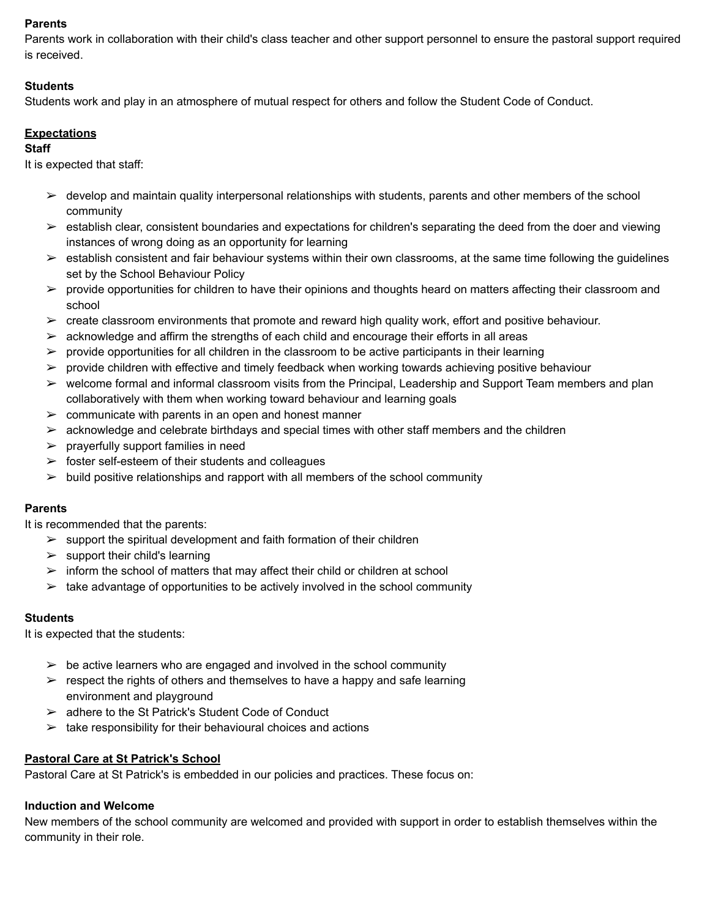## **Parents**

Parents work in collaboration with their child's class teacher and other support personnel to ensure the pastoral support required is received.

## **Students**

Students work and play in an atmosphere of mutual respect for others and follow the Student Code of Conduct.

## **Expectations**

## **Staff**

It is expected that staff:

- $\triangleright$  develop and maintain quality interpersonal relationships with students, parents and other members of the school community
- $\triangleright$  establish clear, consistent boundaries and expectations for children's separating the deed from the doer and viewing instances of wrong doing as an opportunity for learning
- $\triangleright$  establish consistent and fair behaviour systems within their own classrooms, at the same time following the guidelines set by the School Behaviour Policy
- $\triangleright$  provide opportunities for children to have their opinions and thoughts heard on matters affecting their classroom and school
- $\triangleright$  create classroom environments that promote and reward high quality work, effort and positive behaviour.
- $\triangleright$  acknowledge and affirm the strengths of each child and encourage their efforts in all areas
- $\triangleright$  provide opportunities for all children in the classroom to be active participants in their learning
- $\triangleright$  provide children with effective and timely feedback when working towards achieving positive behaviour
- $\triangleright$  welcome formal and informal classroom visits from the Principal, Leadership and Support Team members and plan collaboratively with them when working toward behaviour and learning goals
- $\geq$  communicate with parents in an open and honest manner
- $\triangleright$  acknowledge and celebrate birthdays and special times with other staff members and the children
- $\triangleright$  prayerfully support families in need
- $\geq$  foster self-esteem of their students and colleagues
- $\triangleright$  build positive relationships and rapport with all members of the school community

## **Parents**

It is recommended that the parents:

- $\geq$  support the spiritual development and faith formation of their children
- $\triangleright$  support their child's learning
- $\triangleright$  inform the school of matters that may affect their child or children at school
- $\geq$  take advantage of opportunities to be actively involved in the school community

## **Students**

It is expected that the students:

- $\triangleright$  be active learners who are engaged and involved in the school community
- $\triangleright$  respect the rights of others and themselves to have a happy and safe learning environment and playground
- $\geq$  adhere to the St Patrick's Student Code of Conduct
- $\triangleright$  take responsibility for their behavioural choices and actions

## **Pastoral Care at St Patrick's School**

Pastoral Care at St Patrick's is embedded in our policies and practices. These focus on:

## **Induction and Welcome**

New members of the school community are welcomed and provided with support in order to establish themselves within the community in their role.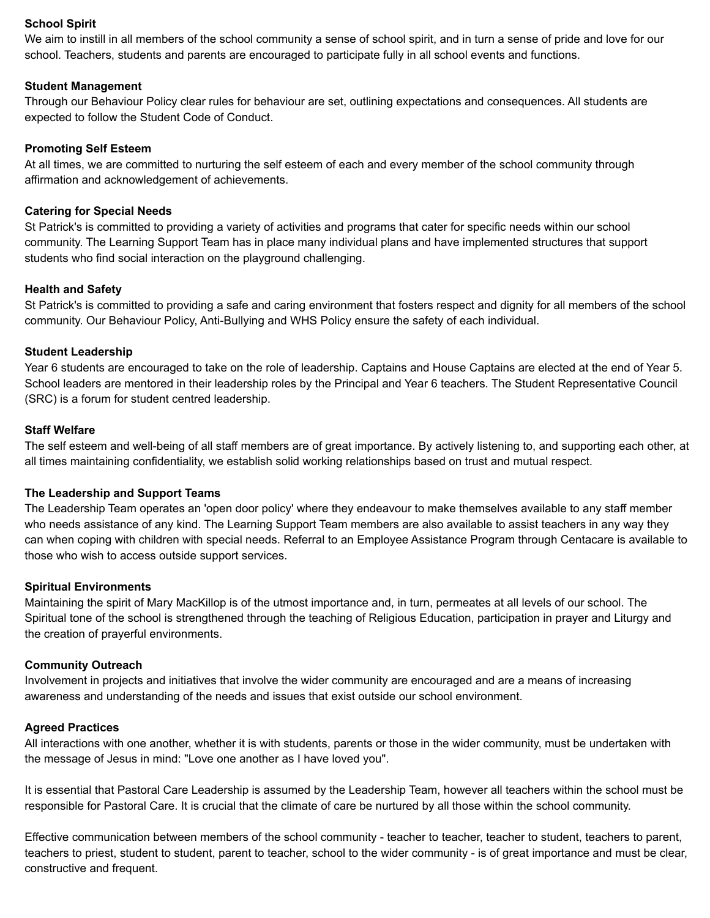## **School Spirit**

We aim to instill in all members of the school community a sense of school spirit, and in turn a sense of pride and love for our school. Teachers, students and parents are encouraged to participate fully in all school events and functions.

#### **Student Management**

Through our Behaviour Policy clear rules for behaviour are set, outlining expectations and consequences. All students are expected to follow the Student Code of Conduct.

#### **Promoting Self Esteem**

At all times, we are committed to nurturing the self esteem of each and every member of the school community through affirmation and acknowledgement of achievements.

#### **Catering for Special Needs**

St Patrick's is committed to providing a variety of activities and programs that cater for specific needs within our school community. The Learning Support Team has in place many individual plans and have implemented structures that support students who find social interaction on the playground challenging.

#### **Health and Safety**

St Patrick's is committed to providing a safe and caring environment that fosters respect and dignity for all members of the school community. Our Behaviour Policy, Anti-Bullying and WHS Policy ensure the safety of each individual.

#### **Student Leadership**

Year 6 students are encouraged to take on the role of leadership. Captains and House Captains are elected at the end of Year 5. School leaders are mentored in their leadership roles by the Principal and Year 6 teachers. The Student Representative Council (SRC) is a forum for student centred leadership.

#### **Staff Welfare**

The self esteem and well-being of all staff members are of great importance. By actively listening to, and supporting each other, at all times maintaining confidentiality, we establish solid working relationships based on trust and mutual respect.

#### **The Leadership and Support Teams**

The Leadership Team operates an 'open door policy' where they endeavour to make themselves available to any staff member who needs assistance of any kind. The Learning Support Team members are also available to assist teachers in any way they can when coping with children with special needs. Referral to an Employee Assistance Program through Centacare is available to those who wish to access outside support services.

#### **Spiritual Environments**

Maintaining the spirit of Mary MacKillop is of the utmost importance and, in turn, permeates at all levels of our school. The Spiritual tone of the school is strengthened through the teaching of Religious Education, participation in prayer and Liturgy and the creation of prayerful environments.

#### **Community Outreach**

Involvement in projects and initiatives that involve the wider community are encouraged and are a means of increasing awareness and understanding of the needs and issues that exist outside our school environment.

#### **Agreed Practices**

All interactions with one another, whether it is with students, parents or those in the wider community, must be undertaken with the message of Jesus in mind: "Love one another as I have loved you".

It is essential that Pastoral Care Leadership is assumed by the Leadership Team, however all teachers within the school must be responsible for Pastoral Care. It is crucial that the climate of care be nurtured by all those within the school community.

Effective communication between members of the school community - teacher to teacher, teacher to student, teachers to parent, teachers to priest, student to student, parent to teacher, school to the wider community - is of great importance and must be clear, constructive and frequent.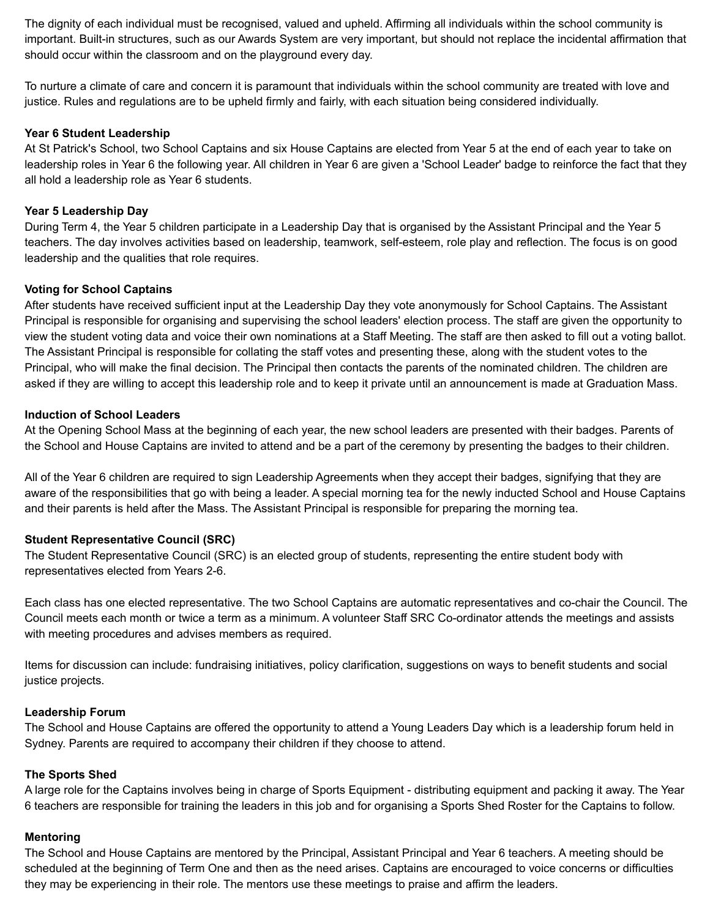The dignity of each individual must be recognised, valued and upheld. Affirming all individuals within the school community is important. Built-in structures, such as our Awards System are very important, but should not replace the incidental affirmation that should occur within the classroom and on the playground every day.

To nurture a climate of care and concern it is paramount that individuals within the school community are treated with love and justice. Rules and regulations are to be upheld firmly and fairly, with each situation being considered individually.

#### **Year 6 Student Leadership**

At St Patrick's School, two School Captains and six House Captains are elected from Year 5 at the end of each year to take on leadership roles in Year 6 the following year. All children in Year 6 are given a 'School Leader' badge to reinforce the fact that they all hold a leadership role as Year 6 students.

### **Year 5 Leadership Day**

During Term 4, the Year 5 children participate in a Leadership Day that is organised by the Assistant Principal and the Year 5 teachers. The day involves activities based on leadership, teamwork, self-esteem, role play and reflection. The focus is on good leadership and the qualities that role requires.

#### **Voting for School Captains**

After students have received sufficient input at the Leadership Day they vote anonymously for School Captains. The Assistant Principal is responsible for organising and supervising the school leaders' election process. The staff are given the opportunity to view the student voting data and voice their own nominations at a Staff Meeting. The staff are then asked to fill out a voting ballot. The Assistant Principal is responsible for collating the staff votes and presenting these, along with the student votes to the Principal, who will make the final decision. The Principal then contacts the parents of the nominated children. The children are asked if they are willing to accept this leadership role and to keep it private until an announcement is made at Graduation Mass.

#### **Induction of School Leaders**

At the Opening School Mass at the beginning of each year, the new school leaders are presented with their badges. Parents of the School and House Captains are invited to attend and be a part of the ceremony by presenting the badges to their children.

All of the Year 6 children are required to sign Leadership Agreements when they accept their badges, signifying that they are aware of the responsibilities that go with being a leader. A special morning tea for the newly inducted School and House Captains and their parents is held after the Mass. The Assistant Principal is responsible for preparing the morning tea.

## **Student Representative Council (SRC)**

The Student Representative Council (SRC) is an elected group of students, representing the entire student body with representatives elected from Years 2-6.

Each class has one elected representative. The two School Captains are automatic representatives and co-chair the Council. The Council meets each month or twice a term as a minimum. A volunteer Staff SRC Co-ordinator attends the meetings and assists with meeting procedures and advises members as required.

Items for discussion can include: fundraising initiatives, policy clarification, suggestions on ways to benefit students and social justice projects.

#### **Leadership Forum**

The School and House Captains are offered the opportunity to attend a Young Leaders Day which is a leadership forum held in Sydney. Parents are required to accompany their children if they choose to attend.

## **The Sports Shed**

A large role for the Captains involves being in charge of Sports Equipment - distributing equipment and packing it away. The Year 6 teachers are responsible for training the leaders in this job and for organising a Sports Shed Roster for the Captains to follow.

## **Mentoring**

The School and House Captains are mentored by the Principal, Assistant Principal and Year 6 teachers. A meeting should be scheduled at the beginning of Term One and then as the need arises. Captains are encouraged to voice concerns or difficulties they may be experiencing in their role. The mentors use these meetings to praise and affirm the leaders.